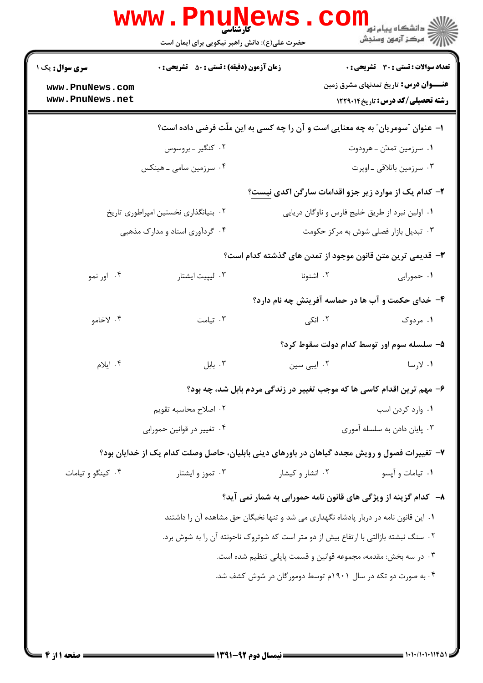|                                                                                      | <b>www.Pnunews</b><br><b>کارشناسی</b><br>حضرت علی(ع): دانش راهبر نیکویی برای ایمان است       |                   | ڪ دانشڪاه پيا <sub>م</sub> نور<br>ا∛ مرکز آزمون وسنڊش                              |  |  |
|--------------------------------------------------------------------------------------|----------------------------------------------------------------------------------------------|-------------------|------------------------------------------------------------------------------------|--|--|
| <b>سری سوال :</b> یک ۱                                                               | <b>زمان آزمون (دقیقه) : تستی : 50 ٪ تشریحی : 0</b>                                           |                   | <b>تعداد سوالات : تستي : 30 ٪ تشريحي : 0</b>                                       |  |  |
| www.PnuNews.com<br>www.PnuNews.net                                                   |                                                                                              |                   | <b>عنــــوان درس:</b> تاریخ تمدنهای مشرق زمین<br>رشته تحصیلی/کد درس: تاریخ ۱۲۲۹۰۱۴ |  |  |
| ا– عنوان "سومریان" به چه معنایی است و آن را چه کسی به این ملّت فرضی داده است؟        |                                                                                              |                   |                                                                                    |  |  |
|                                                                                      | ۰۲ کنگیر ـ بروسوس                                                                            |                   | ۰۱ سرزمین تمدّن ــ هرودوت                                                          |  |  |
|                                                                                      | ۰۴ سرزمین سامی ـ هینکس                                                                       |                   | ۰۳ سرزمین باتلاقی ـ اوپرت                                                          |  |  |
|                                                                                      |                                                                                              |                   | ۲- کدام یک از موارد زیر جزو اقدامات سارگن اکدی نیست؟                               |  |  |
|                                                                                      | ۰۲ بنیانگذاری نخستین امپراطوری تاریخ                                                         |                   | ٠١. اولين نبرد از طريق خليج فارس و ناوگان دريايي                                   |  |  |
| ۰۴ گردآوری اسناد و مدارک مذهبی                                                       |                                                                                              |                   | ۰۳ تبدیل بازار فصلی شوش به مرکز حکومت                                              |  |  |
| ۳- قدیمی ترین متن قانون موجود از تمدن های گذشته کدام است؟                            |                                                                                              |                   |                                                                                    |  |  |
| ۰۴ اور نمو                                                                           | ۰۳ لیپیت ایشتار                                                                              | ۰۲ اشنونا         | ۰۱ حمورابی                                                                         |  |  |
|                                                                                      |                                                                                              |                   | ۴- خدای حکمت و آب ها در حماسه آفرینش چه نام دارد؟                                  |  |  |
| ۰۴ لاخامو                                                                            | ۰۳ تیامت                                                                                     | ۰۲ انکی           | ۰۱ مردوک                                                                           |  |  |
|                                                                                      |                                                                                              |                   | ۵– سلسله سوم اور توسط کدام دولت سقوط کرد؟                                          |  |  |
| ۰۴ ایلام                                                                             | ۰۳ بابل                                                                                      | ۰۲ ایبی سین       | ۱. لارسا                                                                           |  |  |
|                                                                                      |                                                                                              |                   | ۶– مهم ترین اقدام کاسی ها که موجب تغییر در زندگی مردم بابل شد، چه بود؟             |  |  |
| ۰۲ اصلاح محاسبه تقويم                                                                |                                                                                              | ٠١. وارد كردن اسب |                                                                                    |  |  |
| ۰۴ تغییر در قوانین حمورابی                                                           |                                                                                              |                   | ۰۳ پایان دادن به سلسله آموری                                                       |  |  |
|                                                                                      | ۷- تغییرات فصول و رویش مجدد گیاهان در باورهای دینی بابلیان، حاصل وصلت کدام یک از خدایان بود؟ |                   |                                                                                    |  |  |
| ۰۴ کینگو و تیامات                                                                    | ۰۳ تموز و ایشتار                                                                             | ۰۲ انشار و کیشار  | ۰۱ تيامات و آپسو                                                                   |  |  |
|                                                                                      |                                                                                              |                   | ۸– کدام گزینه از ویژگی های قانون نامه حمورابی به شمار نمی آید؟                     |  |  |
|                                                                                      | ۰۱ این قانون نامه در دربار پادشاه نگهداری می شد و تنها نخبگان حق مشاهده آن را داشتند         |                   |                                                                                    |  |  |
| ۰۲ سنگ نبشته بازالتی با ارتفاع بیش از دو متر است که شوتروک ناحونته آن را به شوش برد. |                                                                                              |                   |                                                                                    |  |  |
| ۰۳ در سه بخش: مقدمه، مجموعه قوانین و قسمت پایانی تنظیم شده است.                      |                                                                                              |                   |                                                                                    |  |  |
| ۰۴ به صورت دو تکه در سال ۱۹۰۱م توسط دومورگان در شوش کشف شد.                          |                                                                                              |                   |                                                                                    |  |  |
|                                                                                      |                                                                                              |                   |                                                                                    |  |  |
|                                                                                      |                                                                                              |                   |                                                                                    |  |  |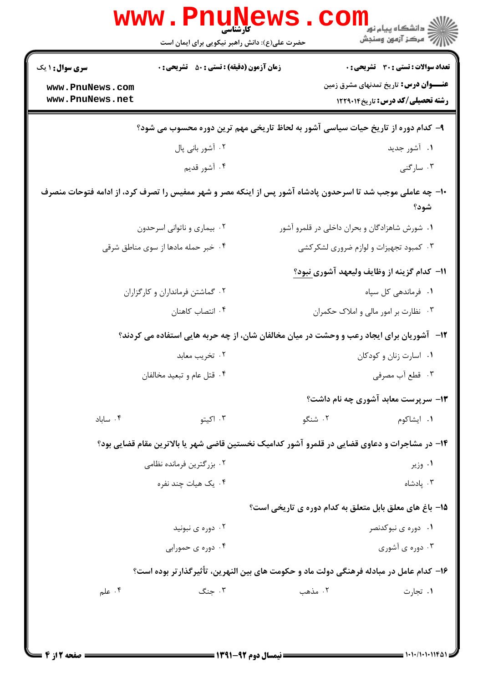| www .                                                                                                              | ا LL LL /<br>کارشناسی<br>حضرت علی(ع): دانش راهبر نیکویی برای ایمان است                        |                                               | <mark>ڪ دانشڪاه پيام نور</mark><br>ج ' مرڪز آزمون وسنڊش                                                                          |  |  |  |
|--------------------------------------------------------------------------------------------------------------------|-----------------------------------------------------------------------------------------------|-----------------------------------------------|----------------------------------------------------------------------------------------------------------------------------------|--|--|--|
| <b>سری سوال : ۱ یک</b><br>www.PnuNews.com<br>www.PnuNews.net                                                       | <b>زمان آزمون (دقیقه) : تستی : 50 ٪ تشریحی : 0</b>                                            |                                               | تعداد سوالات : تستى : 30 قشريحى : 0<br><b>عنــــوان درس:</b> تاریخ تمدنهای مشرق زمین<br><b>رشته تحصیلی/کد درس:</b> تاریخ ۱۲۲۹۰۱۴ |  |  |  |
| ۹– کدام دوره از تاریخ حیات سیاسی آشور به لحاظ تاریخی مهم ترین دوره محسوب می شود؟                                   |                                                                                               |                                               |                                                                                                                                  |  |  |  |
|                                                                                                                    | ۰۱ آشور جدید<br>۰۲ آشور بانی پال                                                              |                                               |                                                                                                                                  |  |  |  |
|                                                                                                                    | ۰۴ آشور قديم                                                                                  |                                               | ۰۳ سارگنی                                                                                                                        |  |  |  |
| +۱- چه عاملی موجب شد تا اسرحدون پادشاه آشور پس از اینکه مصر و شهر ممفیس را تصرف کرد، از ادامه فتوحات منصرف<br>شود؟ |                                                                                               |                                               |                                                                                                                                  |  |  |  |
|                                                                                                                    | ۰۲ بیماری و ناتوانی اسرحدون                                                                   | ۰۱ شورش شاهزادگان و بحران داخلی در قلمرو آشور |                                                                                                                                  |  |  |  |
|                                                                                                                    | ۰۴ خبر حمله مادها از سوی مناطق شرقی                                                           | ۰۳ کمبود تجهیزات و لوازم ضروری لشکرکشی        |                                                                                                                                  |  |  |  |
|                                                                                                                    |                                                                                               |                                               | 11– كدام گزينه از وظايف وليعهد آشوري نبود؟                                                                                       |  |  |  |
| ۰۲ گماشتن فرمانداران و کارگزاران                                                                                   |                                                                                               | ۰۱ فرماندهی کل سپاه                           |                                                                                                                                  |  |  |  |
| ۰۴ انتصاب كاهنان                                                                                                   |                                                                                               | ۰۳ نظارت بر امور مالی و املاک حکمران          |                                                                                                                                  |  |  |  |
|                                                                                                                    | ۱۲- آشوریان برای ایجاد رعب و وحشت در میان مخالفان شان، از چه حربه هایی استفاده می کردند؟      |                                               |                                                                                                                                  |  |  |  |
|                                                                                                                    | ۰۲ تخریب معابد                                                                                | ٠١ اسارت زنان و كودكان                        |                                                                                                                                  |  |  |  |
| ۰۴ قتل عام و تبعيد مخالفان                                                                                         |                                                                                               | ۰۳ قطع آب مصرفی                               |                                                                                                                                  |  |  |  |
|                                                                                                                    |                                                                                               |                                               | <b>۱۳</b> - سرپرست معابد آشوری چه نام داشت؟                                                                                      |  |  |  |
| ۰۴ ساباد                                                                                                           | ۰۳ اکیتو                                                                                      | ۰۲ شنگو                                       | ۰۱ ایشاکوم                                                                                                                       |  |  |  |
|                                                                                                                    | ۱۴- در مشاجرات و دعاوی قضایی در قلمرو آشور کدامیک نخستین قاضی شهر یا بالاترین مقام قضایی بود؟ |                                               |                                                                                                                                  |  |  |  |
|                                                                                                                    | ۰۲ بزر گترین فرمانده نظامی                                                                    |                                               | ۰۱ وزیر                                                                                                                          |  |  |  |
|                                                                                                                    | ۰۴ یک هیات چند نفره                                                                           |                                               | ۰۳ یادشاه                                                                                                                        |  |  |  |
|                                                                                                                    |                                                                                               |                                               | ۱۵- باغ های معلق بابل متعلق به کدام دوره ی تاریخی است؟                                                                           |  |  |  |
|                                                                                                                    | ۰۲ دوره ی نبونید                                                                              |                                               | ۰۱ دوره ی نبوکدنصر                                                                                                               |  |  |  |
|                                                                                                                    | ۰۴ دوره ی حمورابی                                                                             |                                               | ۰۳ دوره ی آشوری                                                                                                                  |  |  |  |
| ۱۶– کدام عامل در مبادله فرهنگی دولت ماد و حکومت های بین النهرین، تأثیرگذارتر بوده است؟                             |                                                                                               |                                               |                                                                                                                                  |  |  |  |
| ۰۴ علم                                                                                                             | ۰۳ جنگ                                                                                        | ۲. مذهب                                       | ٠١ تجارت                                                                                                                         |  |  |  |
|                                                                                                                    |                                                                                               |                                               |                                                                                                                                  |  |  |  |
|                                                                                                                    |                                                                                               |                                               |                                                                                                                                  |  |  |  |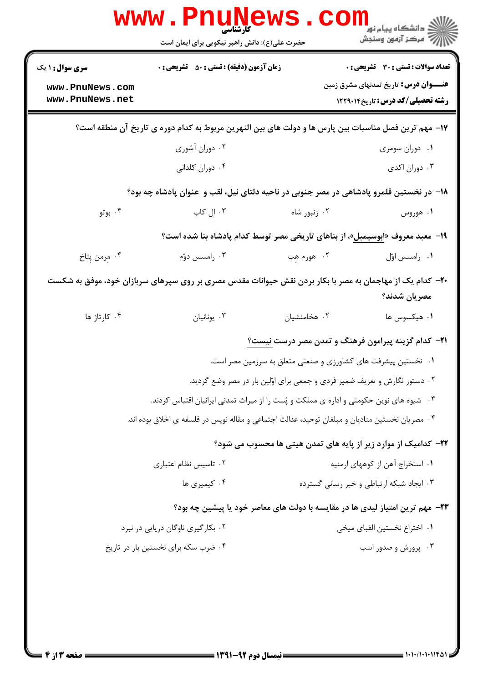| <b>WWW</b>                                                   | کارشناسی<br>حضرت علی(ع): دانش راهبر نیکویی برای ایمان است                                      |                                                                           | لاد دانشگاه پيام نور دا<br>الا مرکز آزمون وسنجش                                                                                         |
|--------------------------------------------------------------|------------------------------------------------------------------------------------------------|---------------------------------------------------------------------------|-----------------------------------------------------------------------------------------------------------------------------------------|
| <b>سری سوال : ۱ یک</b><br>www.PnuNews.com<br>www.PnuNews.net | <b>زمان آزمون (دقیقه) : تستی : 50 ٪ تشریحی : 0</b>                                             |                                                                           | <b>تعداد سوالات : تستی : 30 ٪ تشریحی : 0</b><br><b>عنــــوان درس:</b> تاریخ تمدنهای مشرق زمین<br><b>رشته تحصیلی/کد درس:</b> تاریخ122914 |
|                                                              |                                                                                                |                                                                           | ۱۷– مهم ترین فصل مناسبات بین پارس ها و دولت های بین النهرین مربوط به کدام دوره ی تاریخ آن منطقه است؟                                    |
|                                                              | ۰۲ دوران آشوری<br>۰۴ دوران کلدانی                                                              |                                                                           | ۰۱ دوران سومری<br>۰۳ دوران اکدی                                                                                                         |
|                                                              |                                                                                                |                                                                           | ۱۸– در نخستین قلمرو پادشاهی در مصر جنوبی در ناحیه دلتای نیل، لقب و عنوان پادشاه چه بود؟                                                 |
| ۰۴ بوتو                                                      | ۰۳ ال کاب                                                                                      | ۰۲ زنبور شاه                                                              | ۰۱ هوروس                                                                                                                                |
|                                                              |                                                                                                |                                                                           | ۱۹- معبد معروف «ابوسیمبل»، از بناهای تاریخی مصر توسط کدام پادشاه بنا شده است؟                                                           |
| ۰۴ مِرمن پِتاخ                                               | ۰۳ رامسس دوّم                                                                                  | ۲. هورم هِب                                                               | ٠١ رامسس اوّل                                                                                                                           |
|                                                              |                                                                                                |                                                                           | +۲- کدام یک از مهاجمان به مصر با بکار بردن نقش حیوانات مقدس مصری بر روی سپرهای سربازان خود، موفق به شکست<br>مصريان شدند؟                |
| ۰۴ کارتاژ ها                                                 | ۰۳ يونانيان                                                                                    | ٠٢ هخامنشيان                                                              | ۰۱ هیکسوس ها                                                                                                                            |
|                                                              |                                                                                                |                                                                           | <b>۲۱</b> - کدام گزینه پیرامون فرهنگ و تمدن مصر درست نیست؟                                                                              |
|                                                              |                                                                                                | ۰۱ نخستین پیشرفت های کشاورزی و صنعتی متعلق به سرزمین مصر است.             |                                                                                                                                         |
|                                                              |                                                                                                | ۰۲ دستور نگارش و تعریف ضمیر فردی و جمعی برای اوّلین بار در مصر وضع گردید. |                                                                                                                                         |
|                                                              | ۰۳ شیوه های نوین حکومتی و اداره ی مملکت و پُست را از میراث تمدنی ایرانیان اقتباس کردند.        |                                                                           |                                                                                                                                         |
|                                                              | ۰۴ مصریان نخستین منادیان و مبلغان توحید، عدالت اجتماعی و مقاله نویس در فلسفه ی اخلاق بوده اند. |                                                                           |                                                                                                                                         |
|                                                              |                                                                                                |                                                                           | ۲۲– کدامیک از موارد زیر از پایه های تمدن هیتی ها محسوب می شود؟                                                                          |
|                                                              | ۰۲ تاسیس نظام اعتباری                                                                          |                                                                           | ۰۱ استخراج آهن از کوههای ارمنیه                                                                                                         |
|                                                              | ۰۴ کیمیری ها                                                                                   |                                                                           | ۰۳ ایجاد شبکه ارتباطی و خبر رسانی گسترده                                                                                                |
|                                                              |                                                                                                |                                                                           | ۲۳– مهم ترین امتیاز لیدی ها در مقایسه با دولت های معاصر خود یا پیشین چه بود؟                                                            |
|                                                              | ۰۲ بکارگیری ناوگان دریایی در نبرد                                                              |                                                                           | ٠١. اختراع نخستين الفباي ميخي                                                                                                           |
|                                                              | ۰۴ ضرب سکه برای نخستین بار در تاریخ                                                            |                                                                           | ۰۳ پرورش و صدور اسب                                                                                                                     |
|                                                              |                                                                                                |                                                                           |                                                                                                                                         |